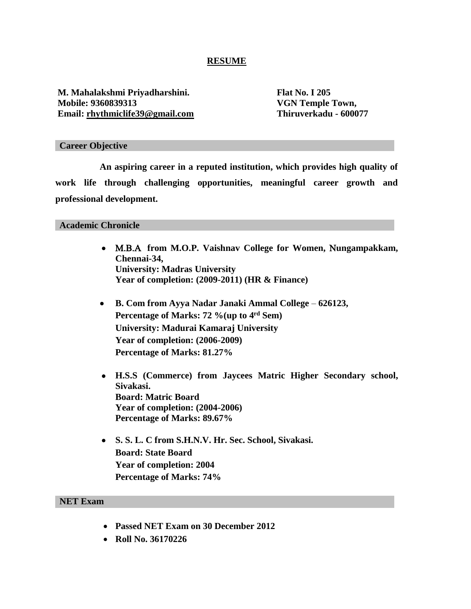### **RESUME**

**M. Mahalakshmi Priyadharshini. Flat No. I 205 Mobile: 9360839313 VGN Temple Town,** Email: *rhythmiclife39@gmail.com* Thiruverkadu - 600077

#### **Career Objective**

**An aspiring career in a reputed institution, which provides high quality of work life through challenging opportunities, meaningful career growth and professional development.**

#### **Academic Chronicle**

- **from M.O.P. Vaishnav College for Women, ungampakkam, Chennai-34, University: Madras University Year of completion: (2009-2011) (HR & Finance)**
- **B. Com from Ayya Nadar Janaki Ammal College 626123, Percentage of Marks: 72 %(up to 4rd Sem) University: Madurai Kamaraj University Year of completion: (2006-2009) Percentage of Marks: 81.27%**
- **H.S.S (Commerce) from Jaycees Matric Higher Secondary school, Sivakasi. Board: Matric Board Year of completion: (2004-2006) Percentage of Marks: 89.67%**
- **S. S. L. C from S.H.N.V. Hr. Sec. School, Sivakasi. Board: State Board Year of completion: 2004 Percentage of Marks: 74%**

#### **NET Exam**

- **Passed NET Exam on 30 December 2012**
- **Roll No. 36170226**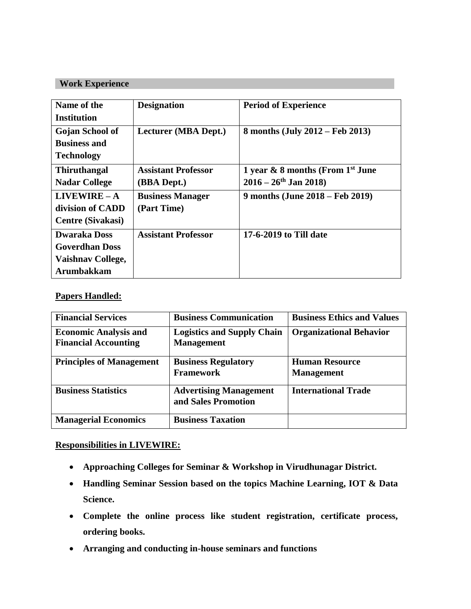# **Work Experience**

| Name of the<br>Institution                                                      | <b>Designation</b>                        | <b>Period of Experience</b>                                                         |
|---------------------------------------------------------------------------------|-------------------------------------------|-------------------------------------------------------------------------------------|
| Gojan School of<br><b>Business and</b><br><b>Technology</b>                     | Lecturer (MBA Dept.)                      | 8 months (July 2012 – Feb 2013)                                                     |
| <b>Thiruthangal</b><br><b>Nadar College</b>                                     | <b>Assistant Professor</b><br>(BBA Dept.) | 1 year & 8 months (From 1 <sup>st</sup> June<br>$2016 - 26$ <sup>th</sup> Jan 2018) |
| $LIVEWIRE - A$<br>division of CADD<br><b>Centre (Sivakasi)</b>                  | <b>Business Manager</b><br>(Part Time)    | 9 months (June 2018 – Feb 2019)                                                     |
| <b>Dwaraka Doss</b><br><b>Goverdhan Doss</b><br>Vaishnav College,<br>Arumbakkam | <b>Assistant Professor</b>                | 17-6-2019 to Till date                                                              |

# **Papers Handled:**

| <b>Financial Services</b>                                   | <b>Business Communication</b>                          | <b>Business Ethics and Values</b>          |
|-------------------------------------------------------------|--------------------------------------------------------|--------------------------------------------|
| <b>Economic Analysis and</b><br><b>Financial Accounting</b> | <b>Logistics and Supply Chain</b><br><b>Management</b> | <b>Organizational Behavior</b>             |
| <b>Principles of Management</b>                             | <b>Business Regulatory</b><br><b>Framework</b>         | <b>Human Resource</b><br><b>Management</b> |
| <b>Business Statistics</b>                                  | <b>Advertising Management</b><br>and Sales Promotion   | <b>International Trade</b>                 |
| <b>Managerial Economics</b>                                 | <b>Business Taxation</b>                               |                                            |

# **Responsibilities in LIVEWIRE:**

- **Approaching Colleges for Seminar & Workshop in Virudhunagar District.**
- **Handling Seminar Session based on the topics Machine Learning, IOT & Data Science.**
- **Complete the online process like student registration, certificate process, ordering books.**
- **Arranging and conducting in-house seminars and functions**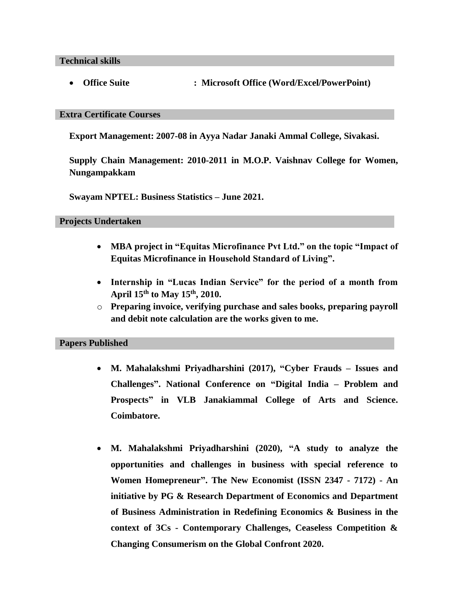**Technical skills**

**Office Suite : Microsoft Office (Word/Excel/PowerPoint)**

### **Extra Certificate Courses**

**Export Management: 2007-08 in Ayya Nadar Janaki Ammal College, Sivakasi.**

**Supply Chain Management: 2010-2011 in M.O.P. Vaishnav College for Women, Nungampakkam**

**Swayam NPTEL: Business Statistics – June 2021.** 

**Projects Undertaken**

- **MBA project in "Equitas Microfinance Pvt Ltd." on the topic "Impact of Equitas Microfinance in Household Standard of Living".**
- **Internship in "Lucas Indian Service" for the period of a month from April 15th to May 15th , 2010.**
- o **Preparing invoice, verifying purchase and sales books, preparing payroll and debit note calculation are the works given to me.**

### **Papers Published**

- **M. Mahalakshmi Priyadharshini (2017), "Cyber Frauds – Issues and Challenges". National Conference on "Digital India – Problem and Prospects" in VLB Janakiammal College of Arts and Science. Coimbatore.**
- **M. Mahalakshmi Priyadharshini (2020), "A study to analyze the opportunities and challenges in business with special reference to Women Homepreneur". The New Economist (ISSN 2347 - 7172) - An initiative by PG & Research Department of Economics and Department of Business Administration in Redefining Economics & Business in the context of 3Cs - Contemporary Challenges, Ceaseless Competition & Changing Consumerism on the Global Confront 2020.**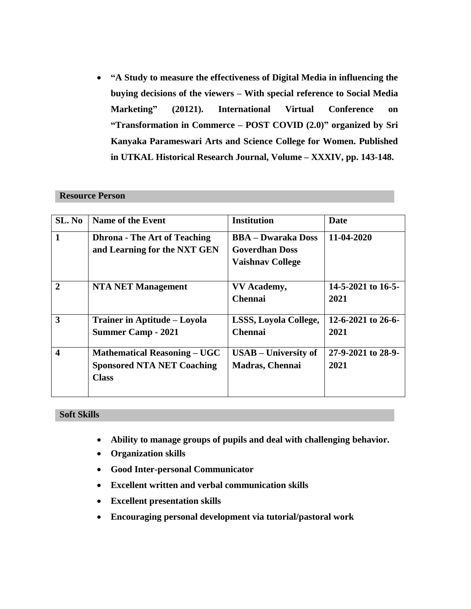**"A Study to measure the effectiveness of Digital Media in influencing the buying decisions of the viewers – With special reference to Social Media Marketing" (20121). International Virtual Conference on "Transformation in Commerce – POST COVID (2.0)" organized by Sri Kanyaka Parameswari Arts and Science College for Women. Published in UTKAL Historical Research Journal, Volume – XXXIV, pp. 143-148.**

### **Resource Person**

| SL. No                  | <b>Name of the Event</b>                                                                 | <b>Institution</b>                                                            | Date                       |
|-------------------------|------------------------------------------------------------------------------------------|-------------------------------------------------------------------------------|----------------------------|
| $\mathbf{1}$            | <b>Dhrona - The Art of Teaching</b><br>and Learning for the NXT GEN                      | <b>BBA – Dwaraka Doss</b><br><b>Goverdhan Doss</b><br><b>Vaishnav College</b> | 11-04-2020                 |
| $\overline{2}$          | <b>NTA NET Management</b>                                                                | <b>VV</b> Academy,<br><b>Chennai</b>                                          | 14-5-2021 to 16-5-<br>2021 |
| 3                       | Trainer in Aptitude – Loyola<br><b>Summer Camp - 2021</b>                                | <b>LSSS, Loyola College,</b><br><b>Chennai</b>                                | 12-6-2021 to 26-6-<br>2021 |
| $\overline{\mathbf{4}}$ | <b>Mathematical Reasoning – UGC</b><br><b>Sponsored NTA NET Coaching</b><br><b>Class</b> | $USAB - University$ of<br><b>Madras, Chennai</b>                              | 27-9-2021 to 28-9-<br>2021 |

### **Soft Skills**

- **Ability to manage groups of pupils and deal with challenging behavior.**
- **Organization skills**
- **Good Inter-personal Communicator**
- **Excellent written and verbal communication skills**
- **Excellent presentation skills**
- **Encouraging personal development via tutorial/pastoral work**